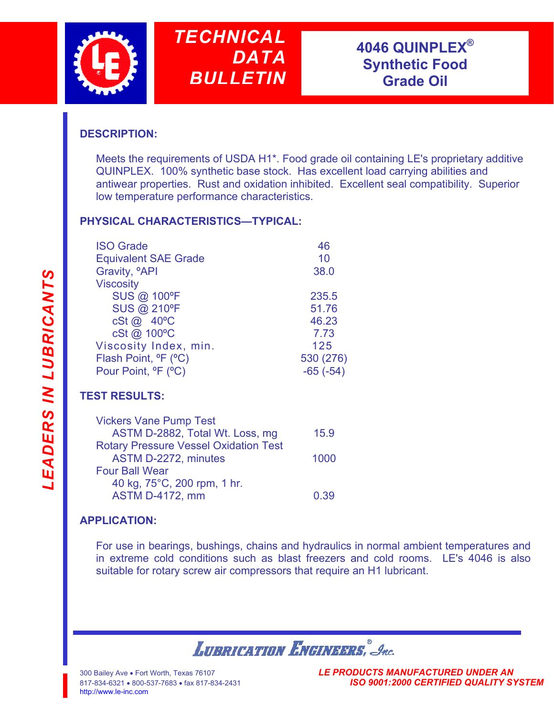



## **DESCRIPTION:**

Meets the requirements of USDA H1\*. Food grade oil containing LE's proprietary additive QUINPLEX. 100% synthetic base stock. Has excellent load carrying abilities and antiwear properties. Rust and oxidation inhibited. Excellent seal compatibility. Superior low temperature performance characteristics.

## **PHYSICAL CHARACTERISTICS—TYPICAL:**

| <b>ISO Grade</b>                             | 46         |
|----------------------------------------------|------------|
| <b>Equivalent SAE Grade</b>                  | 10         |
| Gravity, <sup>o</sup> API                    | 38.0       |
| <b>Viscosity</b>                             |            |
| <b>SUS @ 100°F</b>                           | 235.5      |
| <b>SUS @ 210°F</b>                           | 51.76      |
| cSt @ 40°C                                   | 46.23      |
| cSt @ 100°C                                  | 7.73       |
| Viscosity Index, min.                        | 125        |
| Flash Point, <sup>o</sup> F (°C)             | 530 (276)  |
| Pour Point, <sup>o</sup> F ( <sup>o</sup> C) | $-65(-54)$ |

# **TEST RESULTS:**

| <b>Vickers Vane Pump Test</b>                |      |
|----------------------------------------------|------|
| ASTM D-2882, Total Wt. Loss, mg              | 15.9 |
| <b>Rotary Pressure Vessel Oxidation Test</b> |      |
| ASTM D-2272, minutes                         | 1000 |
| <b>Four Ball Wear</b>                        |      |
| 40 kg, 75°C, 200 rpm, 1 hr.                  |      |
| <b>ASTM D-4172, mm</b>                       | 0.39 |
|                                              |      |

## **APPLICATION:**

For use in bearings, bushings, chains and hydraulics in normal ambient temperatures and in extreme cold conditions such as blast freezers and cold rooms. LE's 4046 is also suitable for rotary screw air compressors that require an H1 lubricant.

**LUBRICATION ENGINEERS**, Inc.

300 Bailey Ave • [Fort Worth, Texas 761](www.le-inc.com)07 *LE PRODUCTS MANUFACTURED UNDER AN* 817-834-6321 • 800-537-7683 • fax 817-834-2431 *ISO 9001:2000 CERTIFIED QUALITY SYSTEM*